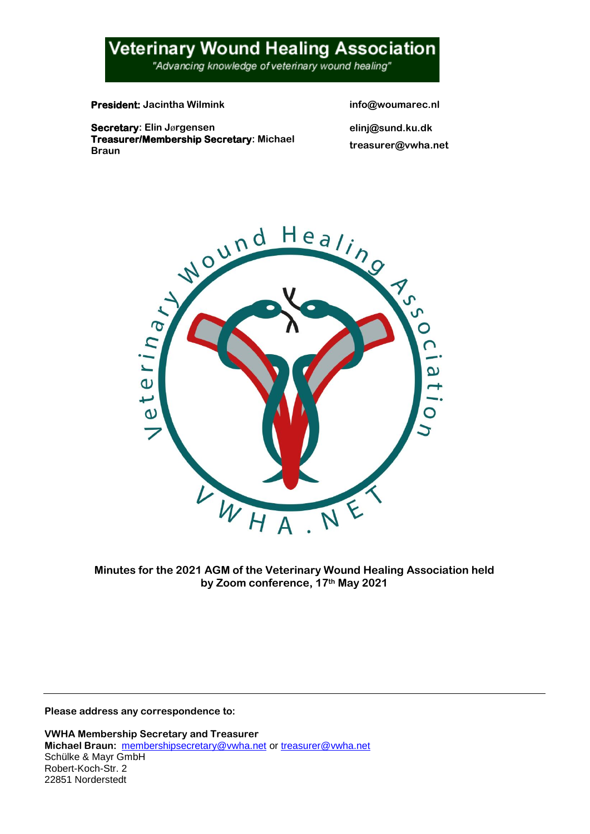# **Veterinary Wound Healing Association**

֦

"Advancing knowledge of veterinary wound healing"

**President:** Jacintha Wilmink info@woumarec.nl

**Secretary: Elin J**ø**rgensen elinj@sund.ku.dk Treasurer/Membership Secretary: Michael Braund Construction Construction Construction Construction Construction Construction Construction Construction C**<br>Braun



**Minutes for the 2021 AGM of the Veterinary Wound Healing Association held by Zoom conference, 17th May 2021**

**Please address any correspondence to:**

**VWHA Membership Secretary and Treasurer Michael Braun:** [membershipsecretary@vwha.net](mailto:membershipsecretary@vwha.net) or [treasurer@vwha.net](mailto:treasurer@vwha.net) Schülke & Mayr GmbH Robert-Koch-Str. 2 22851 Norderstedt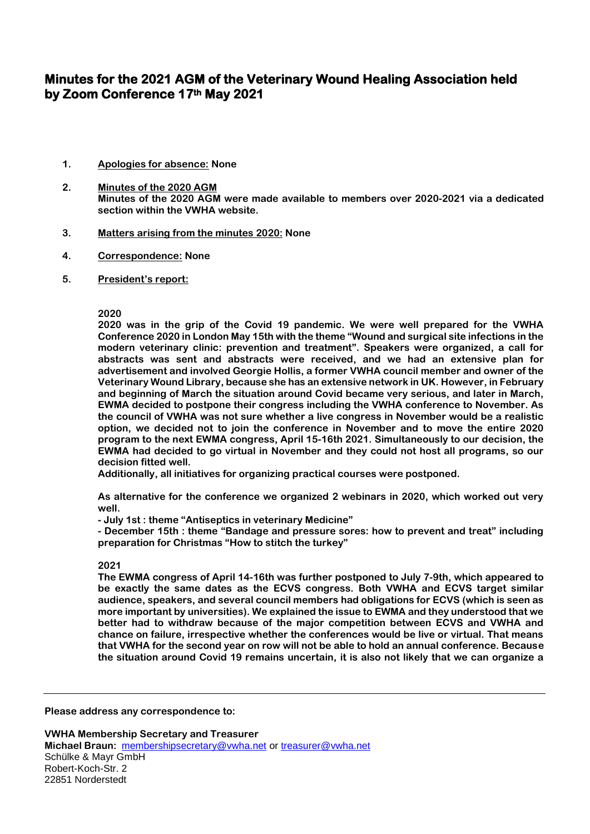## **Minutes for the 2021 AGM of the Veterinary Wound Healing Association held by Zoom Conference 17th May 2021**

- **1. Apologies for absence: None**
- **2. Minutes of the 2020 AGM Minutes of the 2020 AGM were made available to members over 2020-2021 via a dedicated section within the VWHA website.**
- **3. Matters arising from the minutes 2020: None**
- **4. Correspondence: None**
- **5. President's report:**

#### **2020**

**2020 was in the grip of the Covid 19 pandemic. We were well prepared for the VWHA Conference 2020 in London May 15th with the theme "Wound and surgical site infections in the modern veterinary clinic: prevention and treatment". Speakers were organized, a call for abstracts was sent and abstracts were received, and we had an extensive plan for advertisement and involved Georgie Hollis, a former VWHA council member and owner of the Veterinary Wound Library, because she has an extensive network in UK. However, in February and beginning of March the situation around Covid became very serious, and later in March, EWMA decided to postpone their congress including the VWHA conference to November. As the council of VWHA was not sure whether a live congress in November would be a realistic option, we decided not to join the conference in November and to move the entire 2020 program to the next EWMA congress, April 15-16th 2021. Simultaneously to our decision, the EWMA had decided to go virtual in November and they could not host all programs, so our decision fitted well.** 

**Additionally, all initiatives for organizing practical courses were postponed.**

**As alternative for the conference we organized 2 webinars in 2020, which worked out very well.** 

**- July 1st : theme "Antiseptics in veterinary Medicine"**

**- December 15th : theme "Bandage and pressure sores: how to prevent and treat" including preparation for Christmas "How to stitch the turkey"**

#### **2021**

**The EWMA congress of April 14-16th was further postponed to July 7-9th, which appeared to be exactly the same dates as the ECVS congress. Both VWHA and ECVS target similar audience, speakers, and several council members had obligations for ECVS (which is seen as more important by universities). We explained the issue to EWMA and they understood that we better had to withdraw because of the major competition between ECVS and VWHA and chance on failure, irrespective whether the conferences would be live or virtual. That means that VWHA for the second year on row will not be able to hold an annual conference. Because the situation around Covid 19 remains uncertain, it is also not likely that we can organize a** 

#### **Please address any correspondence to:**

**VWHA Membership Secretary and Treasurer Michael Braun:** [membershipsecretary@vwha.net](mailto:membershipsecretary@vwha.net) or [treasurer@vwha.net](mailto:treasurer@vwha.net) Schülke & Mayr GmbH Robert-Koch-Str. 2 22851 Norderstedt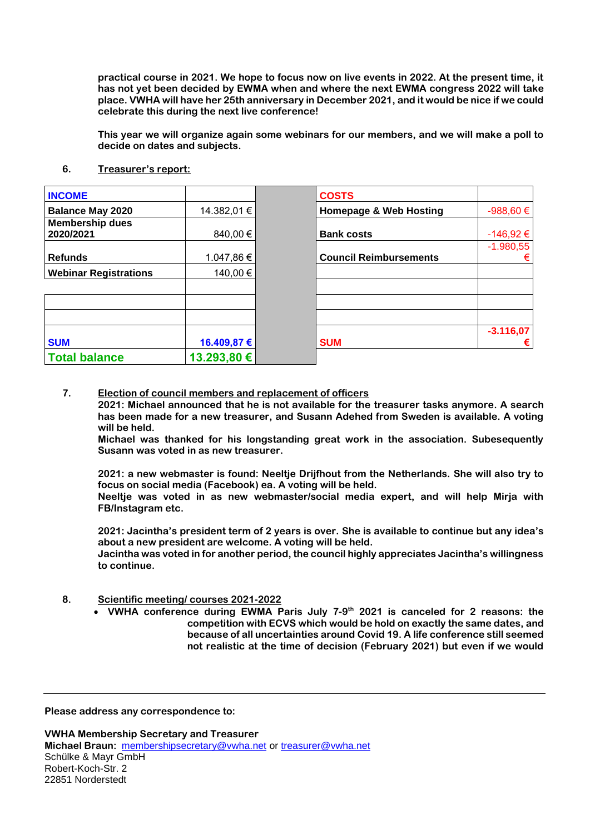**practical course in 2021. We hope to focus now on live events in 2022. At the present time, it has not yet been decided by EWMA when and where the next EWMA congress 2022 will take place. VWHA will have her 25th anniversary in December 2021, and it would be nice if we could celebrate this during the next live conference!**

**This year we will organize again some webinars for our members, and we will make a poll to decide on dates and subjects.**

**6. Treasurer's report:**

| <b>INCOME</b>                |             | <b>COSTS</b>                      |             |
|------------------------------|-------------|-----------------------------------|-------------|
| <b>Balance May 2020</b>      | 14.382,01 € | <b>Homepage &amp; Web Hosting</b> | $-988,60€$  |
| <b>Membership dues</b>       |             |                                   |             |
| 2020/2021                    | 840,00 €    | <b>Bank costs</b>                 | $-146,92€$  |
|                              |             |                                   | $-1.980,55$ |
| <b>Refunds</b>               | 1.047,86 €  | <b>Council Reimbursements</b>     | €           |
| <b>Webinar Registrations</b> | 140,00 €    |                                   |             |
|                              |             |                                   |             |
|                              |             |                                   |             |
|                              |             |                                   |             |
|                              |             |                                   | $-3.116,07$ |
| <b>SUM</b>                   | 16.409,87 € | <b>SUM</b>                        |             |
| <b>Total balance</b>         | 13.293,80 € |                                   |             |

#### **7. Election of council members and replacement of officers**

**2021: Michael announced that he is not available for the treasurer tasks anymore. A search has been made for a new treasurer, and Susann Adehed from Sweden is available. A voting will be held.**

**Michael was thanked for his longstanding great work in the association. Subesequently Susann was voted in as new treasurer.**

**2021: a new webmaster is found: Neeltje Drijfhout from the Netherlands. She will also try to focus on social media (Facebook) ea. A voting will be held.**

**Neeltje was voted in as new webmaster/social media expert, and will help Mirja with FB/Instagram etc.**

**2021: Jacintha's president term of 2 years is over. She is available to continue but any idea's about a new president are welcome. A voting will be held.** 

**Jacintha was voted in for another period, the council highly appreciates Jacintha's willingness to continue.**

- **8. Scientific meeting/ courses 2021-2022**
	- VWHA conference during EWMA Paris July 7-9<sup>th</sup> 2021 is canceled for 2 reasons: the **competition with ECVS which would be hold on exactly the same dates, and because of all uncertainties around Covid 19. A life conference still seemed not realistic at the time of decision (February 2021) but even if we would**

**Please address any correspondence to:**